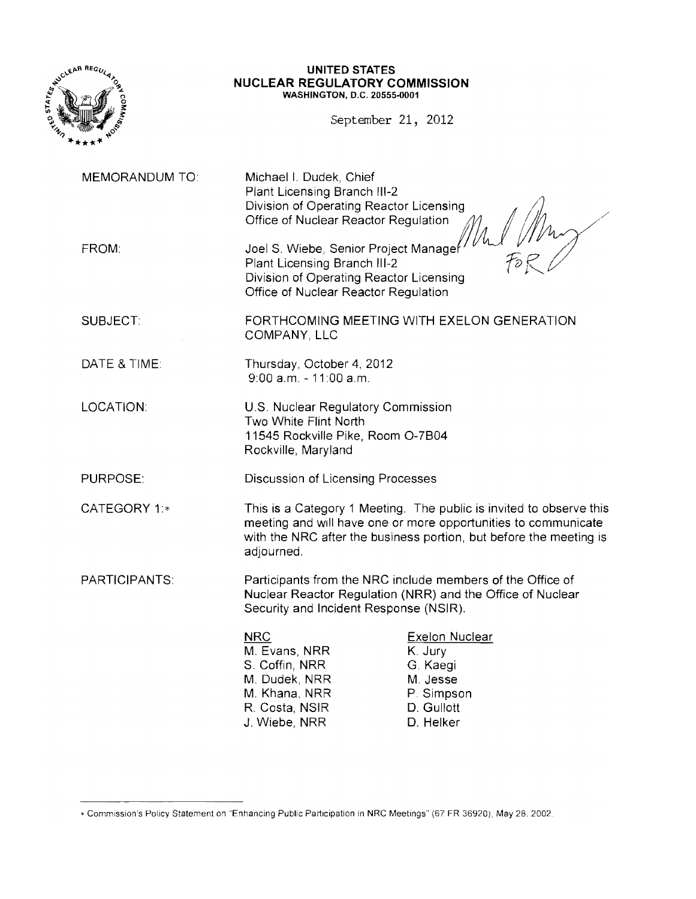

### **UNITED STATES NUCLEAR REGULATORY COMMISSION** WASHINGTON, D.C. 20555-0001

September 21, 2012

MEMORANDUM TO: Michael I. Dudek, Chief Plant Licensing Branch 111-2 Division of Operating Reactor Licensing Office of Nuclear Reactor Regulation FROM: Same Music Joel S. Wiebe, Senior Project Manager Plant Licensing Branch 111-2 Division of Operating Reactor Licensing Office of Nuclear Reactor Regulation SUBJECT: FORTHCOMING MEETING WITH EXELON GENERATION COMPANY, LLC DATE & TIME: Thursday, October 4, 2012 9:00 a.m. - 11 :00 a.m. LOCATION: **U.S. Nuclear Regulatory Commission** Two White Flint North 11545 Rockville Pike, Room 0-7B04 Rockville, Maryland PURPOSE: Discussion of Licensing Processes CATEGORY 1:\* This is a Category 1 Meeting. The public is invited to observe this meeting and Will have one or more opportunities to communicate with the NRC after the business portion, but before the meeting is adjourned. PARTICIPANTS: Participants from the NRC include members of the Office of Nuclear Reactor Regulation (NRR) and the Office of Nuclear Security and Incident Response (NSIR). NRC<br>
M. Evans, NRR

Here Constants K. Jury M. Evans, NRR K. Jury<br>S. Coffin. NRR G. Kaegi S. Coffin, NRR G. Kaegi<br>
M. Dudek, NRR M. Jesse M. Dudek, NRR M. Jesse<br>M. Khana, NRR M. P. Simpson M. Khana. NRR P. Simpson R. Costa, NSIR D. Gullott<br>
J. Wiebe. NRR D. Helker J. Wiebe, NRR  $\sqrt{m}$  $\tilde{\mathit{fs}}$   $\beta$ 

<sup>\*</sup> Commission's Policy Statement on "Enhancing Public Participation in NRC Meetings" (67 FR 36920), May 28, 2002,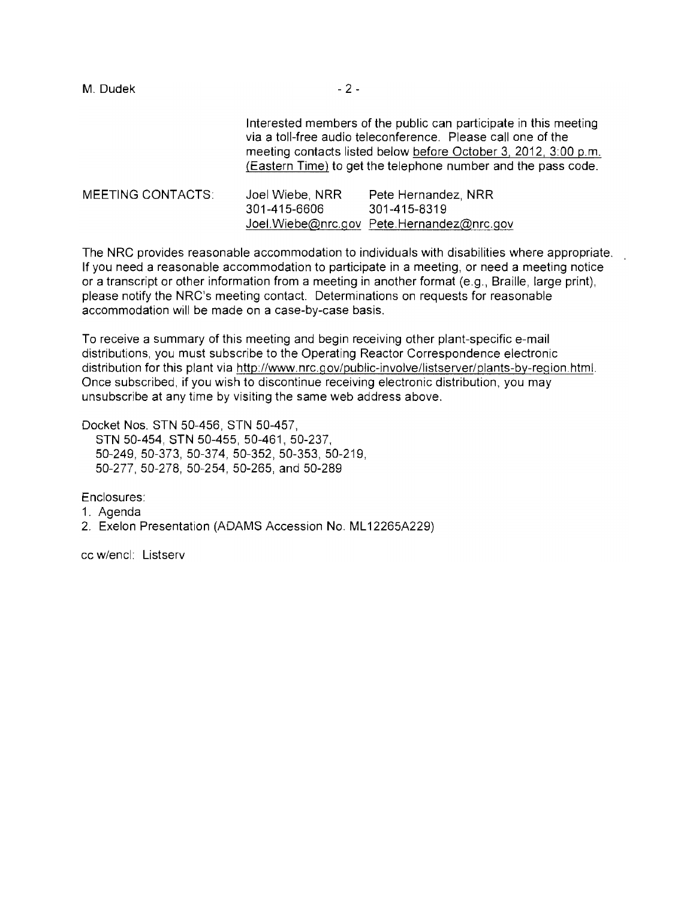| M. Dudek                 | $-2-$                                                                                                                                                                                                                                                                |                                                                                  |  |
|--------------------------|----------------------------------------------------------------------------------------------------------------------------------------------------------------------------------------------------------------------------------------------------------------------|----------------------------------------------------------------------------------|--|
|                          | Interested members of the public can participate in this meeting<br>via a toll-free audio teleconference. Please call one of the<br>meeting contacts listed below before October 3, 2012, 3:00 p.m.<br>(Eastern Time) to get the telephone number and the pass code. |                                                                                  |  |
| <b>MEETING CONTACTS:</b> | Joel Wiebe, NRR<br>301-415-6606                                                                                                                                                                                                                                      | Pete Hernandez, NRR<br>301-415-8319<br>Joel.Wiebe@nrc.gov Pete.Hernandez@nrc.gov |  |

The NRC provides reasonable accommodation to individuals with disabilities where appropriate. If you need a reasonable accommodation to participate in a meeting, or need a meeting notice or a transcript or other information from a meeting in another format (e.g., Braille, large print), please notify the NRC's meeting contact. Determinations on requests for reasonable accommodation will be made on a case-by-case basis.

To receive a summary of this meeting and begin receiving other plant-specific e-mail distributions, you must subscribe to the Operating Reactor Correspondence electronic distribution for this plant via http://www.nrc.gov/public-involve/listserver/plants-by-region.html. Once subscribed, if you wish to discontinue receiving electronic distribution, you may unsubscribe at any time by visiting the same web address above.

Docket Nos. STN 50-456, STN 50-457, STN 50-454, STN 50-455, 50-461, 50-237, 50-249,50-373, 50-374, 50-352, 50-353, 50-219, 50-277,50-278, 50-254, 50-265, and 50-289

Enclosures:

1. Agenda

2. Exelon Presentation (ADAMS Accession No. ML12265A229)

cc w/encl: Listserv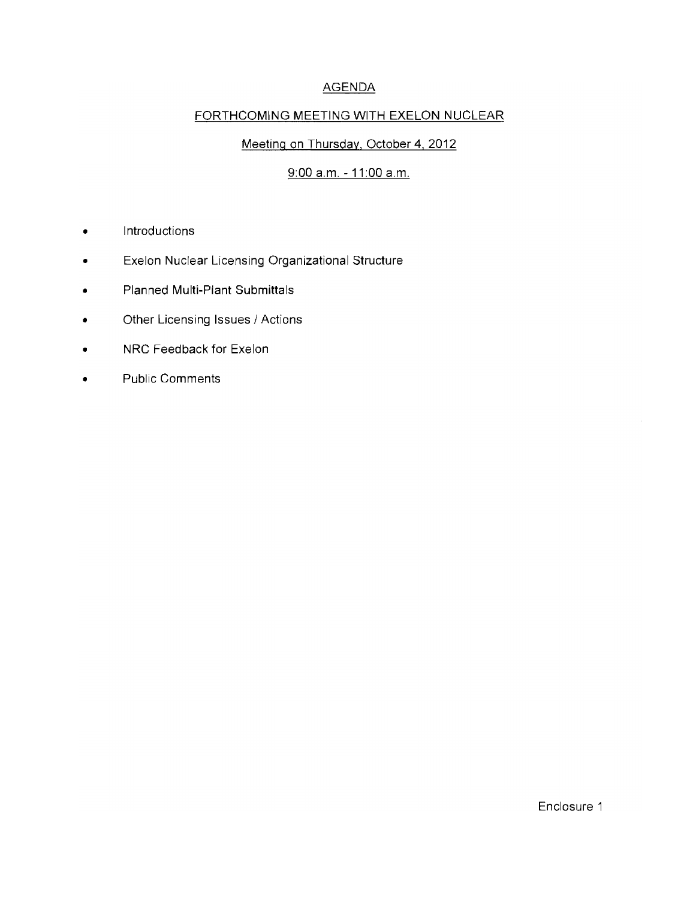# AGENDA

### FORTHCOMING MEETING WITH EXELON NUCLEAR

### Meeting on Thursday, October **4,2012**

# 9:00 a.m, **11** :00 a,m,

- Introductions
- Exelon Nuclear Licensing Organizational Structure
- Planned Multi-Plant Submittals
- Other Licensing Issues / Actions
- NRC Feedback for Exelon
- Public Comments

 $\mathcal{L}$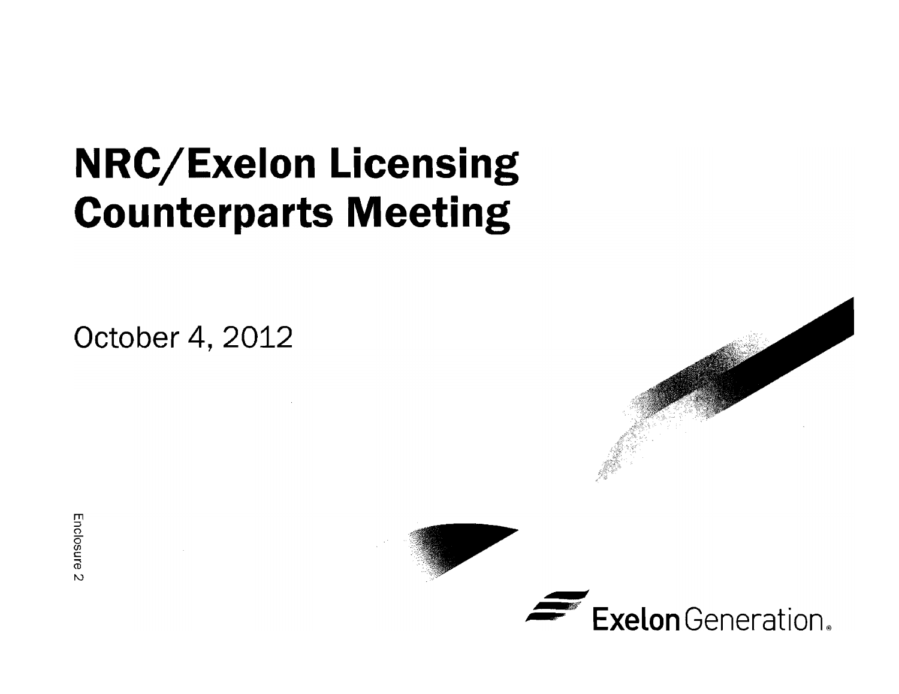# **NRC/Exelon Licensing Counterparts Meeting**

**October 4, 2012** 





Enclosul  $\mathsf{u}$  $\overline{M}$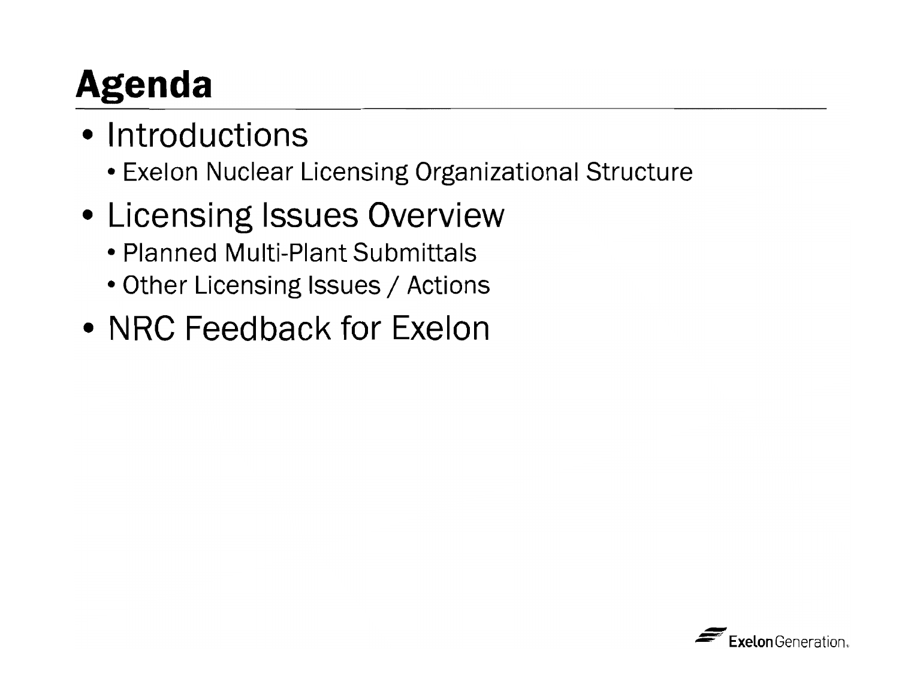# **Agenda**

- Introductions
	- Exelon Nuclear Licensing Organizational Structure
- Licensing Issues Overview
	- Planned Multi-Plant Submittals
	- Other Licensing Issues / Actions
- NRC Feedback for Exelon

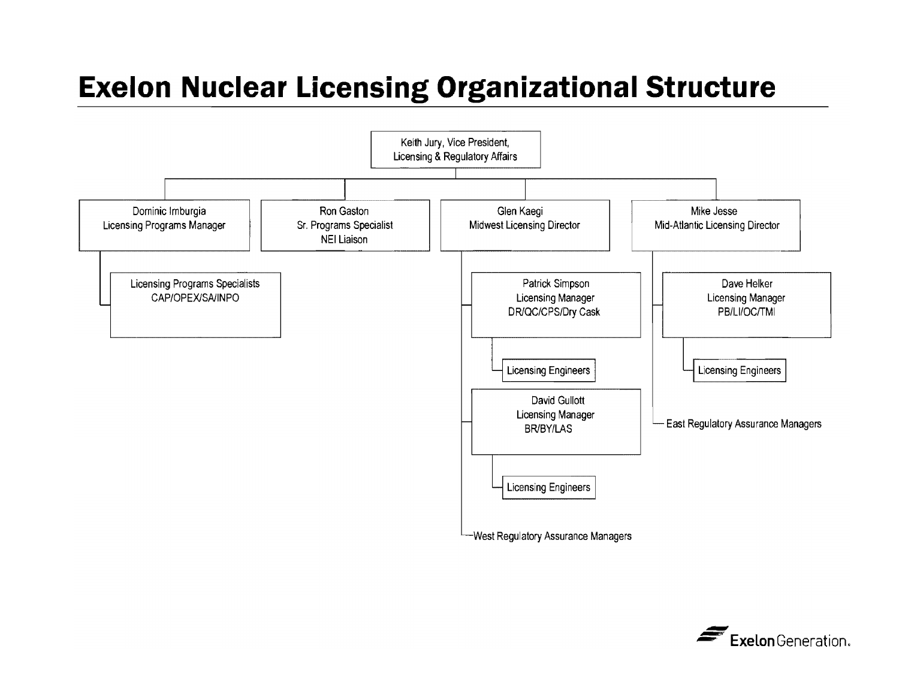# **Exelon Nuclear Licensing Organizational Structure**



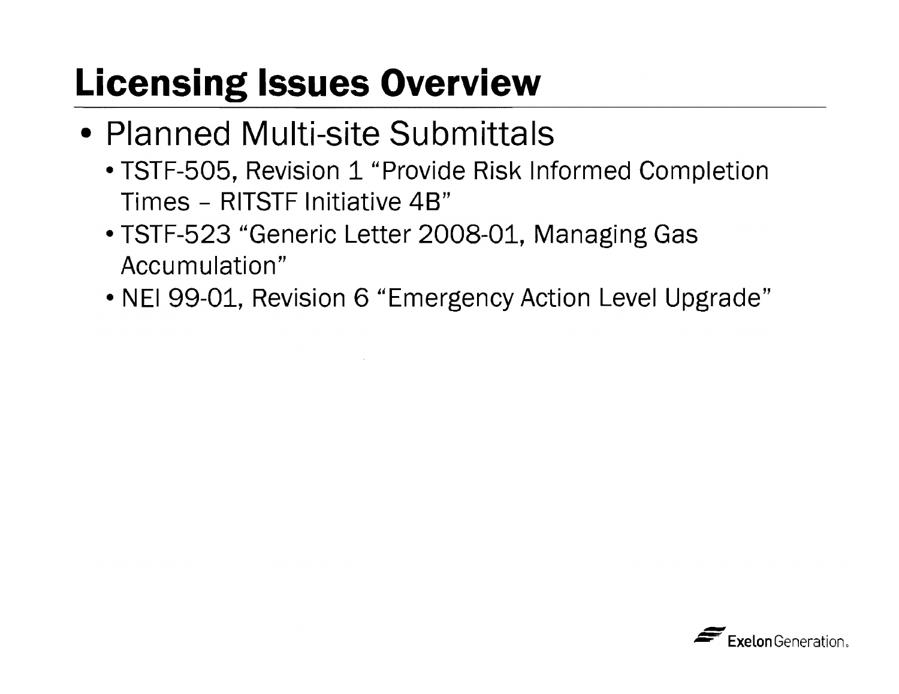# **Licensing Issues Overview**

- Planned Multi-site Submittals
	- TSTF-505, Revision 1 "Provide Risk Informed Completion Times - RITSTF Initiative 48"
	- TSTF-523 "Generic Letter 2008-01, Managing Gas Accumulation"
	- NEI 99-01, Revision 6 "Emergency Action Level Upgrade"

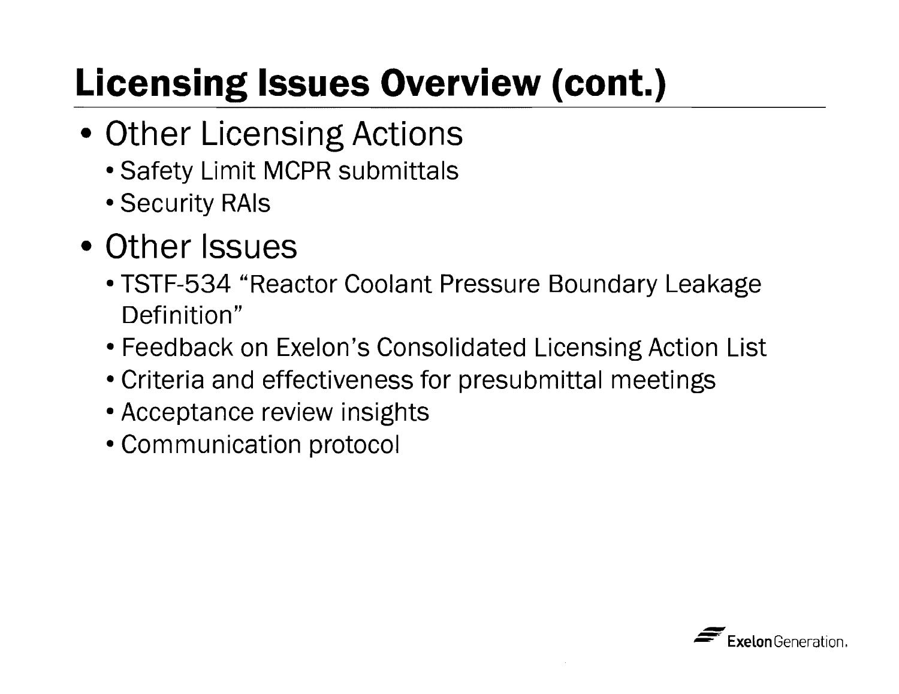# **Licensing Issues Overview (cont.)**

- **Other Licensing Actions** 
	- Safety Limit MCPR submittals
	- Security RAls
- **Other Issues** 
	- TSTF-534 "Reactor Coolant Pressure Boundary Leakage Definition"
	- Feedback on Exelon's Consolidated Licensing Action List
	- Criteria and effectiveness for presubmittal meetings
	- Acceptance review insights
	- Communication protocol

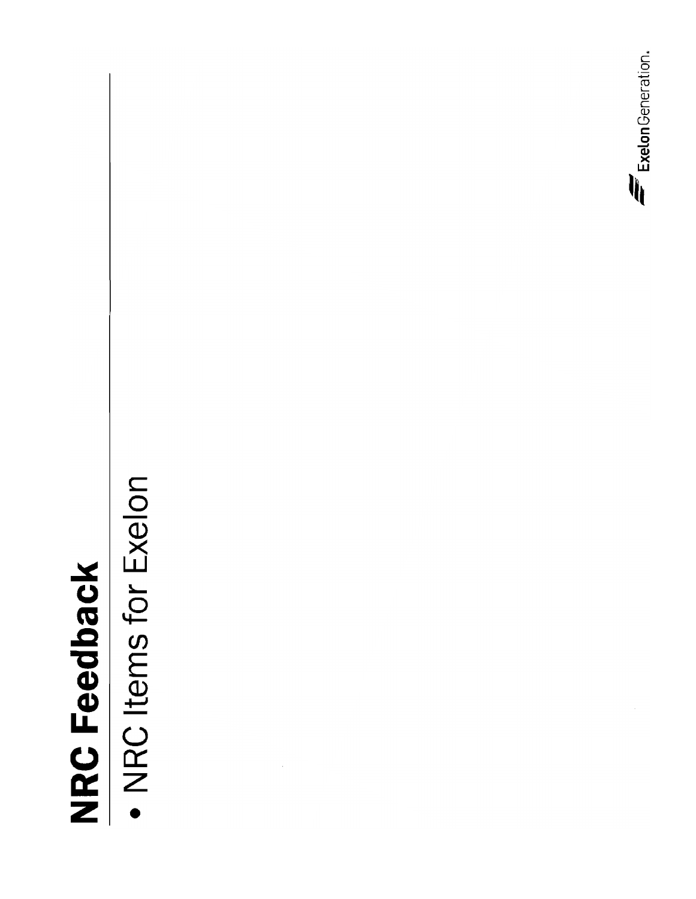# **NRC Feedback**

• NRC Items for Exelon

Exelon Generation.